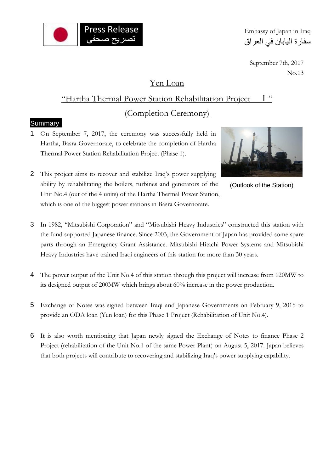

سفارة اليابان في العراق Embassy of Japan in Iraq

September 7th, 2017 No.13

## Yen Loan

## "Hartha Thermal Power Station Rehabilitation Project (Completion Ceremony)

## **Summary**

1 On September 7, 2017, the ceremony was successfully held in Hartha, Basra Governorate, to celebrate the completion of Hartha Thermal Power Station Rehabilitation Project (Phase 1).



(Outlook of the Station)

- 2 This project aims to recover and stabilize Iraq's power supplying ability by rehabilitating the boilers, turbines and generators of the Unit No.4 (out of the 4 units) of the Hartha Thermal Power Station, which is one of the biggest power stations in Basra Governorate.
- 3 In 1982, "Mitsubishi Corporation" and "Mitsubishi Heavy Industries" constructed this station with the fund supported Japanese finance. Since 2003, the Government of Japan has provided some spare parts through an Emergency Grant Assistance. Mitsubishi Hitachi Power Systems and Mitsubishi Heavy Industries have trained Iraqi engineers of this station for more than 30 years.
- 4 The power output of the Unit No.4 of this station through this project will increase from 120MW to its designed output of 200MW which brings about 60% increase in the power production.
- 5 Exchange of Notes was signed between Iraqi and Japanese Governments on February 9, 2015 to provide an ODA loan (Yen loan) for this Phase 1 Project (Rehabilitation of Unit No.4).
- 6 It is also worth mentioning that Japan newly signed the Exchange of Notes to finance Phase 2 Project (rehabilitation of the Unit No.1 of the same Power Plant) on August 5, 2017. Japan believes that both projects will contribute to recovering and stabilizing Iraq's power supplying capability.